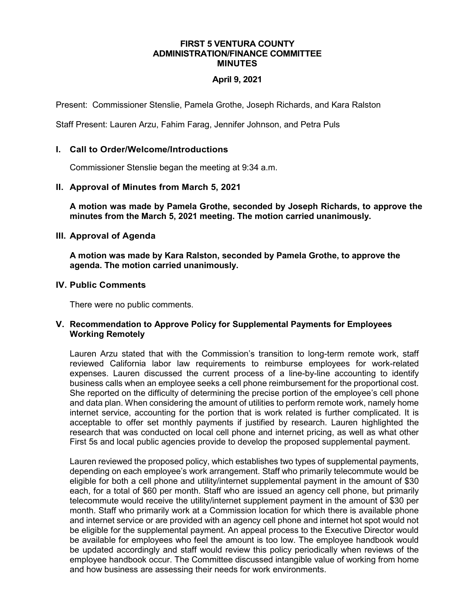#### **FIRST 5 VENTURA COUNTY ADMINISTRATION/FINANCE COMMITTEE MINUTES**

# **April 9, 2021**

Present: Commissioner Stenslie, Pamela Grothe, Joseph Richards, and Kara Ralston

Staff Present: Lauren Arzu, Fahim Farag, Jennifer Johnson, and Petra Puls

## **I. Call to Order/Welcome/Introductions**

Commissioner Stenslie began the meeting at 9:34 a.m.

### **II. Approval of Minutes from March 5, 2021**

**A motion was made by Pamela Grothe, seconded by Joseph Richards, to approve the minutes from the March 5, 2021 meeting. The motion carried unanimously.**

### **III. Approval of Agenda**

**A motion was made by Kara Ralston, seconded by Pamela Grothe, to approve the agenda. The motion carried unanimously.**

### **IV. Public Comments**

There were no public comments.

### **V. Recommendation to Approve Policy for Supplemental Payments for Employees Working Remotely**

Lauren Arzu stated that with the Commission's transition to long-term remote work, staff reviewed California labor law requirements to reimburse employees for work-related expenses. Lauren discussed the current process of a line-by-line accounting to identify business calls when an employee seeks a cell phone reimbursement for the proportional cost. She reported on the difficulty of determining the precise portion of the employee's cell phone and data plan. When considering the amount of utilities to perform remote work, namely home internet service, accounting for the portion that is work related is further complicated. It is acceptable to offer set monthly payments if justified by research. Lauren highlighted the research that was conducted on local cell phone and internet pricing, as well as what other First 5s and local public agencies provide to develop the proposed supplemental payment.

Lauren reviewed the proposed policy, which establishes two types of supplemental payments, depending on each employee's work arrangement. Staff who primarily telecommute would be eligible for both a cell phone and utility/internet supplemental payment in the amount of \$30 each, for a total of \$60 per month. Staff who are issued an agency cell phone, but primarily telecommute would receive the utility/internet supplement payment in the amount of \$30 per month. Staff who primarily work at a Commission location for which there is available phone and internet service or are provided with an agency cell phone and internet hot spot would not be eligible for the supplemental payment. An appeal process to the Executive Director would be available for employees who feel the amount is too low. The employee handbook would be updated accordingly and staff would review this policy periodically when reviews of the employee handbook occur. The Committee discussed intangible value of working from home and how business are assessing their needs for work environments.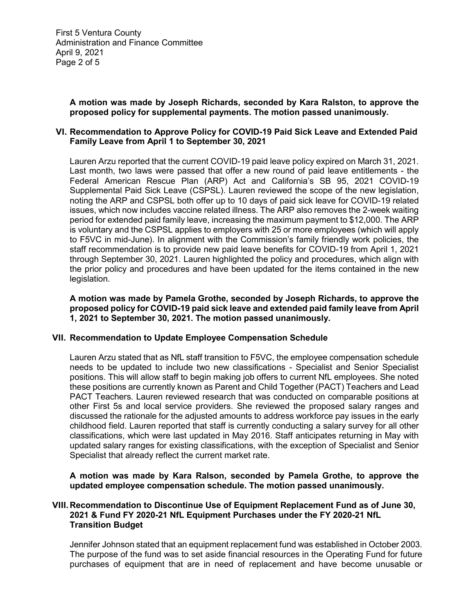**A motion was made by Joseph Richards, seconded by Kara Ralston, to approve the proposed policy for supplemental payments. The motion passed unanimously.** 

### **VI. Recommendation to Approve Policy for COVID-19 Paid Sick Leave and Extended Paid Family Leave from April 1 to September 30, 2021**

Lauren Arzu reported that the current COVID-19 paid leave policy expired on March 31, 2021. Last month, two laws were passed that offer a new round of paid leave entitlements - the Federal American Rescue Plan (ARP) Act and California's SB 95, 2021 COVID-19 Supplemental Paid Sick Leave (CSPSL). Lauren reviewed the scope of the new legislation, noting the ARP and CSPSL both offer up to 10 days of paid sick leave for COVID-19 related issues, which now includes vaccine related illness. The ARP also removes the 2-week waiting period for extended paid family leave, increasing the maximum payment to \$12,000. The ARP is voluntary and the CSPSL applies to employers with 25 or more employees (which will apply to F5VC in mid-June). In alignment with the Commission's family friendly work policies, the staff recommendation is to provide new paid leave benefits for COVID-19 from April 1, 2021 through September 30, 2021. Lauren highlighted the policy and procedures, which align with the prior policy and procedures and have been updated for the items contained in the new legislation.

**A motion was made by Pamela Grothe, seconded by Joseph Richards, to approve the proposed policy for COVID-19 paid sick leave and extended paid family leave from April 1, 2021 to September 30, 2021. The motion passed unanimously.** 

### **VII. Recommendation to Update Employee Compensation Schedule**

Lauren Arzu stated that as NfL staff transition to F5VC, the employee compensation schedule needs to be updated to include two new classifications - Specialist and Senior Specialist positions. This will allow staff to begin making job offers to current NfL employees. She noted these positions are currently known as Parent and Child Together (PACT) Teachers and Lead PACT Teachers. Lauren reviewed research that was conducted on comparable positions at other First 5s and local service providers. She reviewed the proposed salary ranges and discussed the rationale for the adjusted amounts to address workforce pay issues in the early childhood field. Lauren reported that staff is currently conducting a salary survey for all other classifications, which were last updated in May 2016. Staff anticipates returning in May with updated salary ranges for existing classifications, with the exception of Specialist and Senior Specialist that already reflect the current market rate.

**A motion was made by Kara Ralson, seconded by Pamela Grothe, to approve the updated employee compensation schedule. The motion passed unanimously.** 

## **VIII.Recommendation to Discontinue Use of Equipment Replacement Fund as of June 30, 2021 & Fund FY 2020-21 NfL Equipment Purchases under the FY 2020-21 NfL Transition Budget**

Jennifer Johnson stated that an equipment replacement fund was established in October 2003. The purpose of the fund was to set aside financial resources in the Operating Fund for future purchases of equipment that are in need of replacement and have become unusable or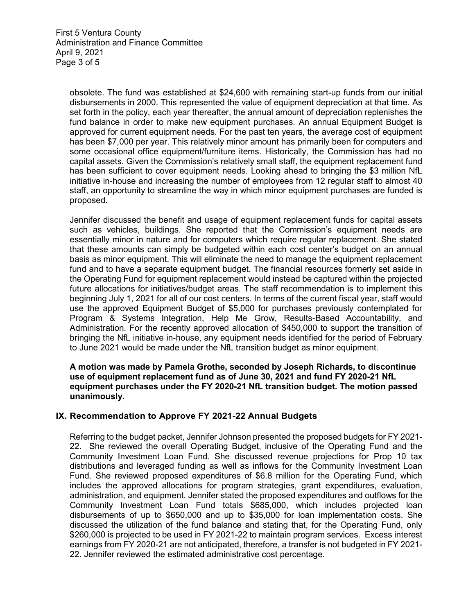obsolete. The fund was established at \$24,600 with remaining start-up funds from our initial disbursements in 2000. This represented the value of equipment depreciation at that time. As set forth in the policy, each year thereafter, the annual amount of depreciation replenishes the fund balance in order to make new equipment purchases. An annual Equipment Budget is approved for current equipment needs. For the past ten years, the average cost of equipment has been \$7,000 per year. This relatively minor amount has primarily been for computers and some occasional office equipment/furniture items. Historically, the Commission has had no capital assets. Given the Commission's relatively small staff, the equipment replacement fund has been sufficient to cover equipment needs. Looking ahead to bringing the \$3 million NfL initiative in-house and increasing the number of employees from 12 regular staff to almost 40 staff, an opportunity to streamline the way in which minor equipment purchases are funded is proposed.

Jennifer discussed the benefit and usage of equipment replacement funds for capital assets such as vehicles, buildings. She reported that the Commission's equipment needs are essentially minor in nature and for computers which require regular replacement. She stated that these amounts can simply be budgeted within each cost center's budget on an annual basis as minor equipment. This will eliminate the need to manage the equipment replacement fund and to have a separate equipment budget. The financial resources formerly set aside in the Operating Fund for equipment replacement would instead be captured within the projected future allocations for initiatives/budget areas. The staff recommendation is to implement this beginning July 1, 2021 for all of our cost centers. In terms of the current fiscal year, staff would use the approved Equipment Budget of \$5,000 for purchases previously contemplated for Program & Systems Integration, Help Me Grow, Results-Based Accountability, and Administration. For the recently approved allocation of \$450,000 to support the transition of bringing the NfL initiative in-house, any equipment needs identified for the period of February to June 2021 would be made under the NfL transition budget as minor equipment.

**A motion was made by Pamela Grothe, seconded by Joseph Richards, to discontinue use of equipment replacement fund as of June 30, 2021 and fund FY 2020-21 NfL equipment purchases under the FY 2020-21 NfL transition budget. The motion passed unanimously.** 

# **IX. Recommendation to Approve FY 2021-22 Annual Budgets**

Referring to the budget packet, Jennifer Johnson presented the proposed budgets for FY 2021- 22. She reviewed the overall Operating Budget, inclusive of the Operating Fund and the Community Investment Loan Fund. She discussed revenue projections for Prop 10 tax distributions and leveraged funding as well as inflows for the Community Investment Loan Fund. She reviewed proposed expenditures of \$6.8 million for the Operating Fund, which includes the approved allocations for program strategies, grant expenditures, evaluation, administration, and equipment. Jennifer stated the proposed expenditures and outflows for the Community Investment Loan Fund totals \$685,000, which includes projected loan disbursements of up to \$650,000 and up to \$35,000 for loan implementation costs. She discussed the utilization of the fund balance and stating that, for the Operating Fund, only \$260,000 is projected to be used in FY 2021-22 to maintain program services. Excess interest earnings from FY 2020-21 are not anticipated, therefore, a transfer is not budgeted in FY 2021- 22. Jennifer reviewed the estimated administrative cost percentage.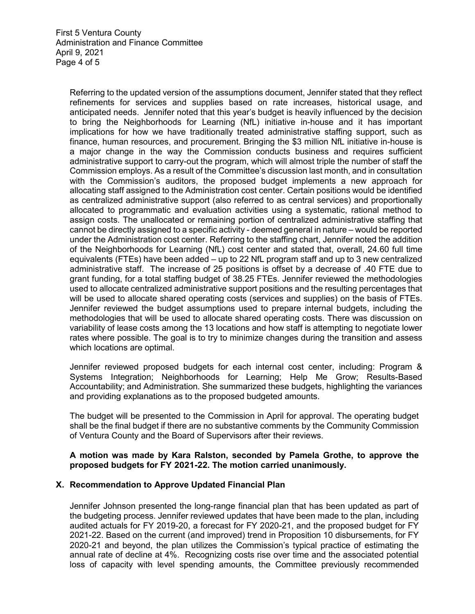Referring to the updated version of the assumptions document, Jennifer stated that they reflect refinements for services and supplies based on rate increases, historical usage, and anticipated needs. Jennifer noted that this year's budget is heavily influenced by the decision to bring the Neighborhoods for Learning (NfL) initiative in-house and it has important implications for how we have traditionally treated administrative staffing support, such as finance, human resources, and procurement. Bringing the \$3 million NfL initiative in-house is a major change in the way the Commission conducts business and requires sufficient administrative support to carry-out the program, which will almost triple the number of staff the Commission employs. As a result of the Committee's discussion last month, and in consultation with the Commission's auditors, the proposed budget implements a new approach for allocating staff assigned to the Administration cost center. Certain positions would be identified as centralized administrative support (also referred to as central services) and proportionally allocated to programmatic and evaluation activities using a systematic, rational method to assign costs. The unallocated or remaining portion of centralized administrative staffing that cannot be directly assigned to a specific activity - deemed general in nature – would be reported under the Administration cost center. Referring to the staffing chart, Jennifer noted the addition of the Neighborhoods for Learning (NfL) cost center and stated that, overall, 24.60 full time equivalents (FTEs) have been added – up to 22 NfL program staff and up to 3 new centralized administrative staff. The increase of 25 positions is offset by a decrease of .40 FTE due to grant funding, for a total staffing budget of 38.25 FTEs. Jennifer reviewed the methodologies used to allocate centralized administrative support positions and the resulting percentages that will be used to allocate shared operating costs (services and supplies) on the basis of FTEs. Jennifer reviewed the budget assumptions used to prepare internal budgets, including the methodologies that will be used to allocate shared operating costs. There was discussion on variability of lease costs among the 13 locations and how staff is attempting to negotiate lower rates where possible. The goal is to try to minimize changes during the transition and assess which locations are optimal.

Jennifer reviewed proposed budgets for each internal cost center, including: Program & Systems Integration; Neighborhoods for Learning; Help Me Grow; Results-Based Accountability; and Administration. She summarized these budgets, highlighting the variances and providing explanations as to the proposed budgeted amounts.

The budget will be presented to the Commission in April for approval. The operating budget shall be the final budget if there are no substantive comments by the Community Commission of Ventura County and the Board of Supervisors after their reviews.

### **A motion was made by Kara Ralston, seconded by Pamela Grothe, to approve the proposed budgets for FY 2021-22. The motion carried unanimously.**

# **X. Recommendation to Approve Updated Financial Plan**

Jennifer Johnson presented the long-range financial plan that has been updated as part of the budgeting process. Jennifer reviewed updates that have been made to the plan, including audited actuals for FY 2019-20, a forecast for FY 2020-21, and the proposed budget for FY 2021-22. Based on the current (and improved) trend in Proposition 10 disbursements, for FY 2020-21 and beyond, the plan utilizes the Commission's typical practice of estimating the annual rate of decline at 4%. Recognizing costs rise over time and the associated potential loss of capacity with level spending amounts, the Committee previously recommended